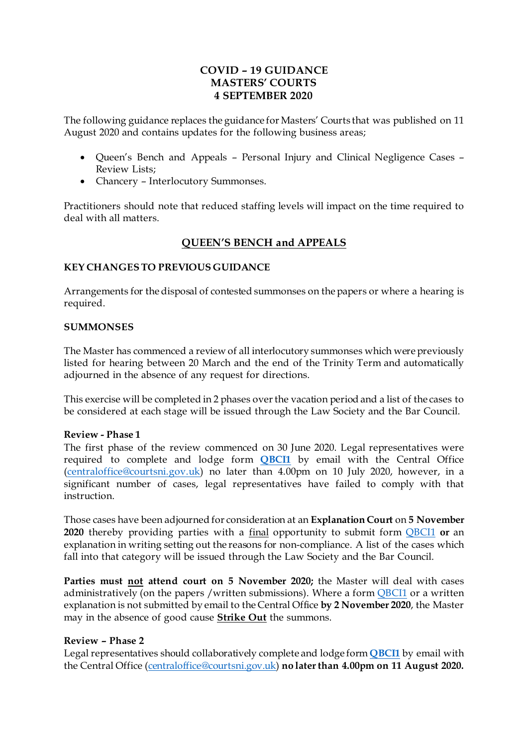## **COVID – 19 GUIDANCE MASTERS' COURTS 4 SEPTEMBER 2020**

The following guidance replaces the guidance for Masters' Courts that was published on 11 August 2020 and contains updates for the following business areas;

- Queen's Bench and Appeals Personal Injury and Clinical Negligence Cases Review Lists;
- Chancery Interlocutory Summonses.

Practitioners should note that reduced staffing levels will impact on the time required to deal with all matters.

## **QUEEN'S BENCH and APPEALS**

#### **KEY CHANGES TO PREVIOUS GUIDANCE**

Arrangements for the disposal of contested summonses on the papers or where a hearing is required.

#### **SUMMONSES**

The Master has commenced a review of all interlocutory summonses which were previously listed for hearing between 20 March and the end of the Trinity Term and automatically adjourned in the absence of any request for directions.

This exercise will be completed in 2 phases over the vacation period and a list of the cases to be considered at each stage will be issued through the Law Society and the Bar Council.

#### **Review - Phase 1**

The first phase of the review commenced on 30 June 2020. Legal representatives were required to complete and lodge form **[QBCI1](https://judiciaryni.uk/sites/judiciary/files/media-files/FORM%20QBCI1%20%20QUEENS%20BENCH%20DIVISION%20Business%20Continuity%20Covid%2019%20V5.0%20Issued%205.6.20.DOC)** by email with the Central Office [\(centraloffice@courtsni.gov.uk](mailto:centraloffice@courtsni.gov.uk)) no later than 4.00pm on 10 July 2020, however, in a significant number of cases, legal representatives have failed to comply with that instruction.

Those cases have been adjourned for consideration at an **Explanation Court** on **5 November 2020** thereby providing parties with a final opportunity to submit form [QBCI1](https://judiciaryni.uk/sites/judiciary/files/media-files/FORM%20QBCI1%20%20QUEENS%20BENCH%20DIVISION%20Business%20Continuity%20Covid%2019%20V5.0%20Issued%205.6.20.DOC) **or** an explanation in writing setting out the reasons for non-compliance. A list of the cases which fall into that category will be issued through the Law Society and the Bar Council.

**Parties must not attend court on 5 November 2020;** the Master will deal with cases administratively (on the papers /written submissions). Where a form **[QBCI1](https://judiciaryni.uk/sites/judiciary/files/media-files/FORM%20QBCI1%20%20QUEENS%20BENCH%20DIVISION%20Business%20Continuity%20Covid%2019%20V5.0%20Issued%205.6.20.DOC)** or a written explanation is not submitted by email to the Central Office **by 2 November 2020**, the Master may in the absence of good cause **Strike Out** the summons.

#### **Review – Phase 2**

Legal representatives should collaboratively complete and lodge form **[QBCI1](https://judiciaryni.uk/sites/judiciary/files/media-files/FORM%20QBCI1%20%20QUEENS%20BENCH%20DIVISION%20Business%20Continuity%20Covid%2019%20V5.0%20Issued%205.6.20.DOC)** by email with the Central Office [\(centraloffice@courtsni.gov.uk\)](mailto:centraloffice@courtsni.gov.uk) **no later than 4.00pm on 11 August 2020.**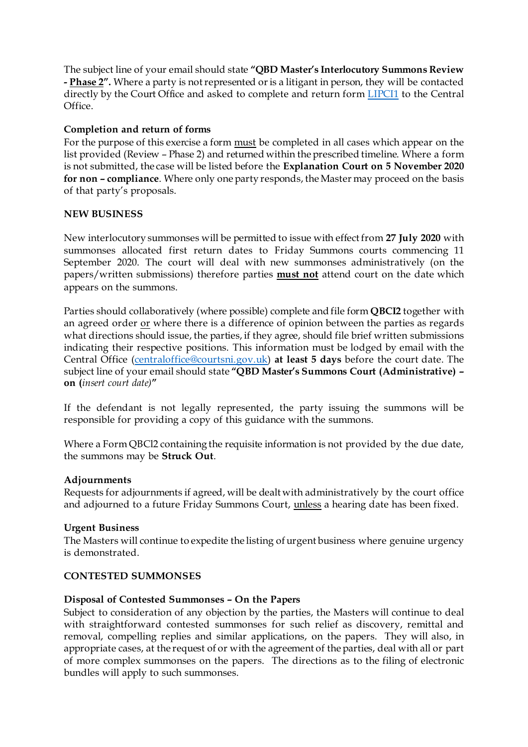The subject line of your email should state **"QBD Master's Interlocutory Summons Review - Phase 2".** Where a party is not represented or is a litigant in person, they will be contacted directly by the Court Office and asked to complete and return form [LIPCI1](https://judiciaryni.uk/sites/judiciary/files/media-files/FORM%20LIPCI1%20LIP%20%20Unrepresented%20Parties%20Business%20Continuity%20Covid%2019%20V3.0%20Issued%2011.5.20.DOC) to the Central Office.

### **Completion and return of forms**

For the purpose of this exercise a form **must** be completed in all cases which appear on the list provided (Review – Phase 2) and returned within the prescribed timeline. Where a form is not submitted, the case will be listed before the **Explanation Court on 5 November 2020 for non – compliance**. Where only one party responds, the Master may proceed on the basis of that party's proposals.

#### **NEW BUSINESS**

New interlocutory summonses will be permitted to issue with effect from **27 July 2020** with summonses allocated first return dates to Friday Summons courts commencing 11 September 2020. The court will deal with new summonses administratively (on the papers/written submissions) therefore parties **must not** attend court on the date which appears on the summons.

Parties should collaboratively (where possible) complete and file form **QBCI2** together with an agreed order or where there is a difference of opinion between the parties as regards what directions should issue, the parties, if they agree, should file brief written submissions indicating their respective positions. This information must be lodged by email with the Central Office [\(centraloffice@courtsni.gov.uk](mailto:centraloffice@courtsni.gov.uk)) **at least 5 days** before the court date. The subject line of your email should state **"QBD Master's Summons Court (Administrative) – on (***insert court date)***"**

If the defendant is not legally represented, the party issuing the summons will be responsible for providing a copy of this guidance with the summons.

Where a Form QBCl2 containing the requisite information is not provided by the due date, the summons may be **Struck Out**.

#### **Adjournments**

Requests for adjournments if agreed, will be dealt with administratively by the court office and adjourned to a future Friday Summons Court, unless a hearing date has been fixed.

#### **Urgent Business**

The Masters will continue to expedite the listing of urgent business where genuine urgency is demonstrated.

#### **CONTESTED SUMMONSES**

#### **Disposal of Contested Summonses – On the Papers**

Subject to consideration of any objection by the parties, the Masters will continue to deal with straightforward contested summonses for such relief as discovery, remittal and removal, compelling replies and similar applications, on the papers. They will also, in appropriate cases, at the request of or with the agreement of the parties, deal with all or part of more complex summonses on the papers. The directions as to the filing of electronic bundles will apply to such summonses.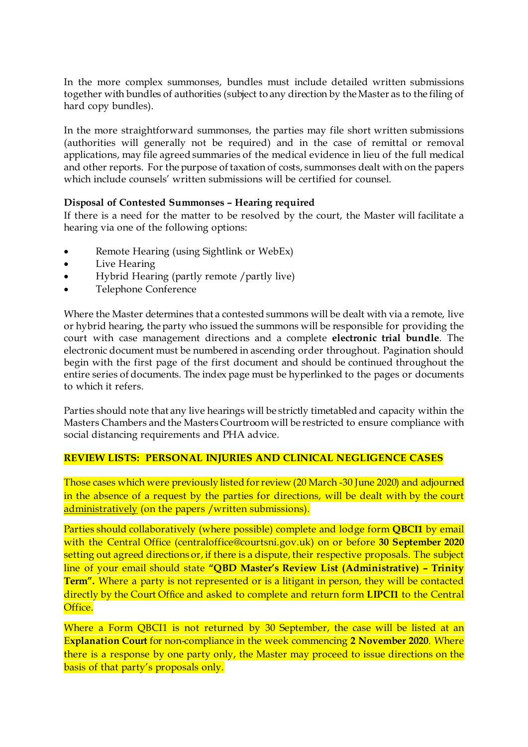In the more complex summonses, bundles must include detailed written submissions together with bundles of authorities (subject to any direction by the Master as to the filing of hard copy bundles).

In the more straightforward summonses, the parties may file short written submissions (authorities will generally not be required) and in the case of remittal or removal applications, may file agreed summaries of the medical evidence in lieu of the full medical and other reports. For the purpose of taxation of costs, summonses dealt with on the papers which include counsels' written submissions will be certified for counsel.

#### **Disposal of Contested Summonses – Hearing required**

If there is a need for the matter to be resolved by the court, the Master will facilitate a hearing via one of the following options:

- Remote Hearing (using Sightlink or WebEx)
- Live Hearing
- Hybrid Hearing (partly remote /partly live)
- Telephone Conference

Where the Master determines that a contested summons will be dealt with via a remote, live or hybrid hearing, the party who issued the summons will be responsible for providing the court with case management directions and a complete **electronic trial bundle**. The electronic document must be numbered in ascending order throughout. Pagination should begin with the first page of the first document and should be continued throughout the entire series of documents. The index page must be hyperlinked to the pages or documents to which it refers.

Parties should note that any live hearings will be strictly timetabled and capacity within the Masters Chambers and the Masters Courtroom will be restricted to ensure compliance with social distancing requirements and PHA advice.

#### **REVIEW LISTS: PERSONAL INJURIES AND CLINICAL NEGLIGENCE CASES**

Those cases which were previously listed for review (20 March -30 June 2020) and adjourned in the absence of a request by the parties for directions, will be dealt with by the court administratively (on the papers /written submissions).

Parties should collaboratively (where possible) complete and lodge form **QBCI1** by email with the Central Office (centraloffice@courtsni.gov.uk) on or before **30 September 2020** setting out agreed directions or, if there is a dispute, their respective proposals. The subject line of your email should state **"QBD Master's Review List (Administrative) – Trinity Term".** Where a party is not represented or is a litigant in person, they will be contacted directly by the Court Office and asked to complete and return form **LIPCI1** to the Central Office.

Where a Form QBCI1 is not returned by 30 September, the case will be listed at an E**xplanation Court** for non-compliance in the week commencing **2 November 2020**. Where there is a response by one party only, the Master may proceed to issue directions on the basis of that party's proposals only.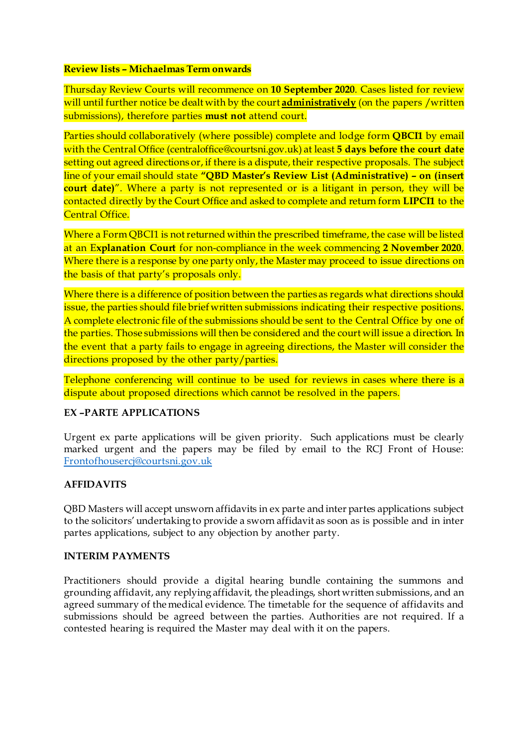#### **Review lists – Michaelmas Term onwards**

Thursday Review Courts will recommence on **10 September 2020**. Cases listed for review will until further notice be dealt with by the court **administratively** (on the papers /written submissions), therefore parties **must not** attend court.

Parties should collaboratively (where possible) complete and lodge form **QBCI1** by email with the Central Office (centraloffice@courtsni.gov.uk) at least **5 days before the court date** setting out agreed directions or, if there is a dispute, their respective proposals. The subject line of your email should state **"QBD Master's Review List (Administrative) – on (insert court date)**". Where a party is not represented or is a litigant in person, they will be contacted directly by the Court Office and asked to complete and return form **LIPCI1** to the Central Office.

Where a Form QBCI1 is not returned within the prescribed timeframe, the case will be listed at an E**xplanation Court** for non-compliance in the week commencing **2 November 2020**. Where there is a response by one party only, the Master may proceed to issue directions on the basis of that party's proposals only.

Where there is a difference of position between the parties as regards what directions should issue, the parties should file brief written submissions indicating their respective positions. A complete electronic file of the submissions should be sent to the Central Office by one of the parties. Those submissions will then be considered and the court will issue a direction. In the event that a party fails to engage in agreeing directions, the Master will consider the directions proposed by the other party/parties.

Telephone conferencing will continue to be used for reviews in cases where there is a dispute about proposed directions which cannot be resolved in the papers.

## **EX –PARTE APPLICATIONS**

Urgent ex parte applications will be given priority. Such applications must be clearly marked urgent and the papers may be filed by email to the RCJ Front of House: [Frontofhousercj@courtsni.gov.uk](mailto:Frontofhousercj@courtsni.gov.uk)

## **AFFIDAVITS**

QBD Masters will accept unsworn affidavits in ex parte and inter partes applications subject to the solicitors' undertaking to provide a sworn affidavit as soon as is possible and in inter partes applications, subject to any objection by another party.

#### **INTERIM PAYMENTS**

Practitioners should provide a digital hearing bundle containing the summons and grounding affidavit, any replying affidavit, the pleadings, short written submissions, and an agreed summary of the medical evidence. The timetable for the sequence of affidavits and submissions should be agreed between the parties. Authorities are not required. If a contested hearing is required the Master may deal with it on the papers.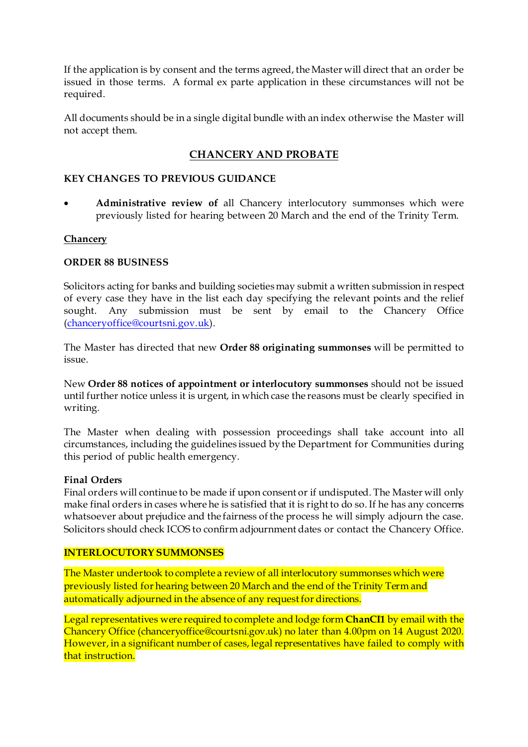If the application is by consent and the terms agreed, the Master will direct that an order be issued in those terms. A formal ex parte application in these circumstances will not be required.

All documents should be in a single digital bundle with an index otherwise the Master will not accept them.

# **CHANCERY AND PROBATE**

#### **KEY CHANGES TO PREVIOUS GUIDANCE**

• **Administrative review of** all Chancery interlocutory summonses which were previously listed for hearing between 20 March and the end of the Trinity Term.

#### **Chancery**

#### **ORDER 88 BUSINESS**

Solicitors acting for banks and building societies may submit a written submission in respect of every case they have in the list each day specifying the relevant points and the relief sought. Any submission must be sent by email to the Chancery Office [\(chanceryoffice@courtsni.gov.uk](mailto:chanceryoffice@courtsni.gov.uk)).

The Master has directed that new **Order 88 originating summonses** will be permitted to issue.

New **Order 88 notices of appointment or interlocutory summonses** should not be issued until further notice unless it is urgent, in which case the reasons must be clearly specified in writing.

The Master when dealing with possession proceedings shall take account into all circumstances, including the guidelines issued by the Department for Communities during this period of public health emergency.

#### **Final Orders**

Final orders will continue to be made if upon consent or if undisputed. The Master will only make final orders in cases where he is satisfied that it is right to do so. If he has any concerns whatsoever about prejudice and the fairness of the process he will simply adjourn the case. Solicitors should check ICOS to confirm adjournment dates or contact the Chancery Office.

#### **INTERLOCUTORY SUMMONSES**

The Master undertook to complete a review of all interlocutory summonses which were previously listed for hearing between 20 March and the end of the Trinity Term and automatically adjourned in the absence of any request for directions.

Legal representatives were required to complete and lodge form **ChanCI1** by email with the Chancery Office (chanceryoffice@courtsni.gov.uk) no later than 4.00pm on 14 August 2020. However, in a significant number of cases, legal representatives have failed to comply with that instruction.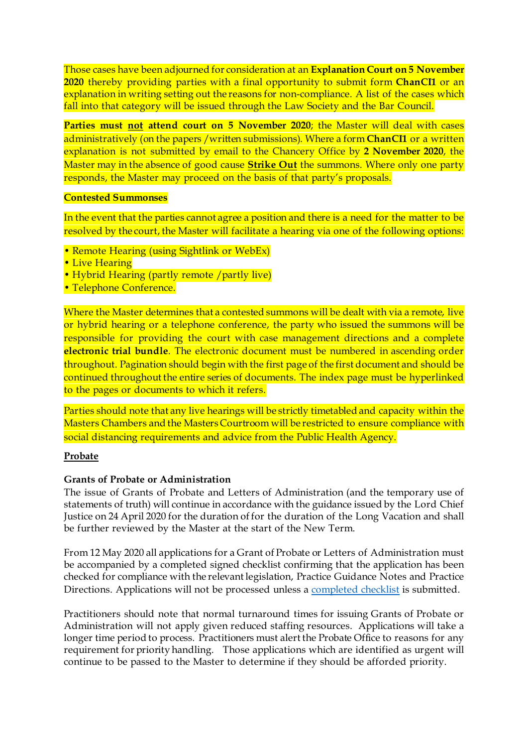Those cases have been adjourned for consideration at an **Explanation Court on 5 November 2020** thereby providing parties with a final opportunity to submit form **ChanCI1** or an explanation in writing setting out the reasons for non-compliance. A list of the cases which fall into that category will be issued through the Law Society and the Bar Council.

**Parties must not attend court on 5 November 2020**; the Master will deal with cases administratively (on the papers /written submissions). Where a form **ChanCI1** or a written explanation is not submitted by email to the Chancery Office by **2 November 2020**, the Master may in the absence of good cause **Strike Out** the summons. Where only one party responds, the Master may proceed on the basis of that party's proposals.

#### **Contested Summonses**

In the event that the parties cannot agree a position and there is a need for the matter to be resolved by the court, the Master will facilitate a hearing via one of the following options:

- Remote Hearing (using Sightlink or WebEx)
- Live Hearing
- Hybrid Hearing (partly remote /partly live)
- Telephone Conference.

Where the Master determines that a contested summons will be dealt with via a remote, live or hybrid hearing or a telephone conference, the party who issued the summons will be responsible for providing the court with case management directions and a complete **electronic trial bundle**. The electronic document must be numbered in ascending order throughout. Pagination should begin with the first page of the first document and should be continued throughout the entire series of documents. The index page must be hyperlinked to the pages or documents to which it refers.

Parties should note that any live hearings will be strictly timetabled and capacity within the Masters Chambers and the Masters Courtroom will be restricted to ensure compliance with social distancing requirements and advice from the Public Health Agency.

#### **Probate**

#### **Grants of Probate or Administration**

The issue of Grants of Probate and Letters of Administration (and the temporary use of statements of truth) will continue in accordance with the guidance issued by the Lord Chief Justice on 24 April 2020 for the duration of for the duration of the Long Vacation and shall be further reviewed by the Master at the start of the New Term.

From 12 May 2020 all applications for a Grant of Probate or Letters of Administration must be accompanied by a completed signed checklist confirming that the application has been checked for compliance with the relevant legislation, Practice Guidance Notes and Practice Directions. Applications will not be processed unles[s a completed checkli](https://judiciaryni.uk/sites/judiciary/files/media-files/Covid-19%20-%20Application%20for%20Grant%20of%20Probate%20or%20Administration%20Checklist%20-%20210520.doc)st is submitted.

Practitioners should note that normal turnaround times for issuing Grants of Probate or Administration will not apply given reduced staffing resources. Applications will take a longer time period to process. Practitioners must alert the Probate Office to reasons for any requirement for priority handling. Those applications which are identified as urgent will continue to be passed to the Master to determine if they should be afforded priority.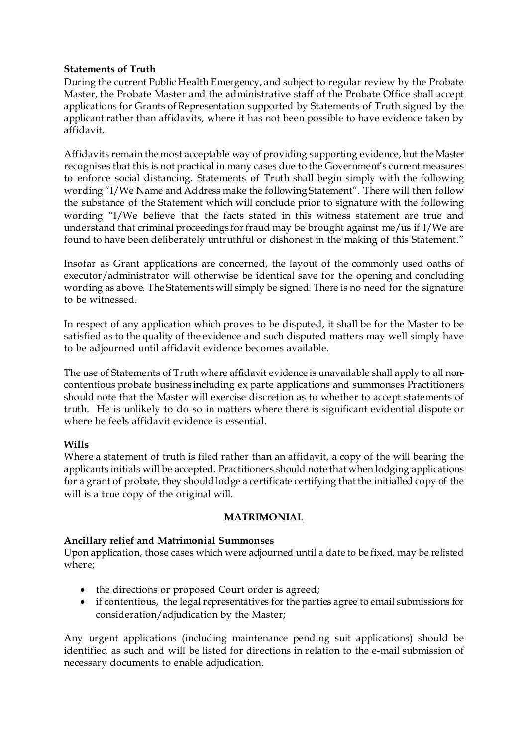#### **Statements of Truth**

During the current Public Health Emergency, and subject to regular review by the Probate Master, the Probate Master and the administrative staff of the Probate Office shall accept applications for Grants of Representation supported by Statements of Truth signed by the applicant rather than affidavits, where it has not been possible to have evidence taken by affidavit.

Affidavits remain the most acceptable way of providing supporting evidence, but the Master recognises that this is not practical in many cases due to the Government's current measures to enforce social distancing. Statements of Truth shall begin simply with the following wording "I/We Name and Address make the following Statement". There will then follow the substance of the Statement which will conclude prior to signature with the following wording "I/We believe that the facts stated in this witness statement are true and understand that criminal proceedings for fraud may be brought against me/us if I/We are found to have been deliberately untruthful or dishonest in the making of this Statement."

Insofar as Grant applications are concerned, the layout of the commonly used oaths of executor/administrator will otherwise be identical save for the opening and concluding wording as above. The Statements will simply be signed. There is no need for the signature to be witnessed.

In respect of any application which proves to be disputed, it shall be for the Master to be satisfied as to the quality of the evidence and such disputed matters may well simply have to be adjourned until affidavit evidence becomes available.

The use of Statements of Truth where affidavit evidence is unavailable shall apply to all noncontentious probate business including ex parte applications and summonses Practitioners should note that the Master will exercise discretion as to whether to accept statements of truth. He is unlikely to do so in matters where there is significant evidential dispute or where he feels affidavit evidence is essential.

## **Wills**

Where a statement of truth is filed rather than an affidavit, a copy of the will bearing the applicants initials will be accepted. Practitioners should note that when lodging applications for a grant of probate, they should lodge a certificate certifying that the initialled copy of the will is a true copy of the original will.

## **MATRIMONIAL**

## **Ancillary relief and Matrimonial Summonses**

Upon application, those cases which were adjourned until a date to be fixed, may be relisted where;

- the directions or proposed Court order is agreed;
- if contentious, the legal representatives for the parties agree to email submissions for consideration/adjudication by the Master;

Any urgent applications (including maintenance pending suit applications) should be identified as such and will be listed for directions in relation to the e-mail submission of necessary documents to enable adjudication.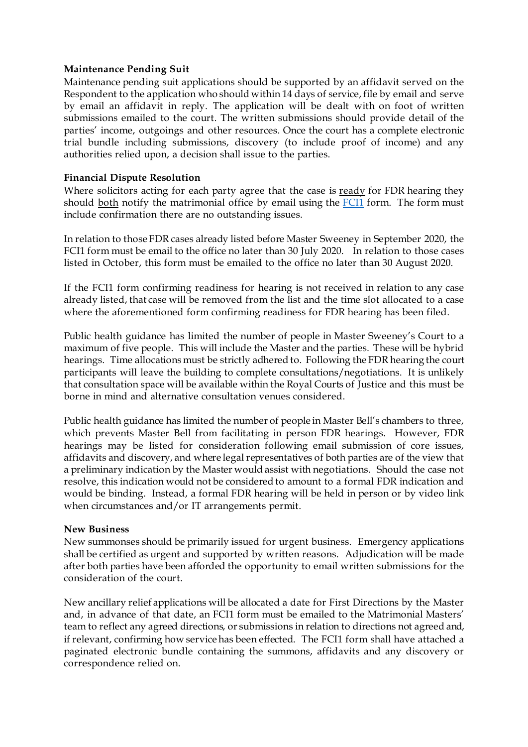#### **Maintenance Pending Suit**

Maintenance pending suit applications should be supported by an affidavit served on the Respondent to the application who should within 14 days of service, file by email and serve by email an affidavit in reply. The application will be dealt with on foot of written submissions emailed to the court. The written submissions should provide detail of the parties' income, outgoings and other resources. Once the court has a complete electronic trial bundle including submissions, discovery (to include proof of income) and any authorities relied upon, a decision shall issue to the parties.

#### **Financial Dispute Resolution**

Where solicitors acting for each party agree that the case is ready for FDR hearing they should both notify the matrimonial office by email using the [FCI1](https://judiciaryni.uk/sites/judiciary/files/media-files/FORM%20FCI1%20-%20Family%20Business%20Continuity%20Covid-19%20V5.0%20Issued%205.6.20.DOC) form. The form must include confirmation there are no outstanding issues.

In relation to those FDR cases already listed before Master Sweeney in September 2020, the FCI1 form must be email to the office no later than 30 July 2020. In relation to those cases listed in October, this form must be emailed to the office no later than 30 August 2020.

If the FCI1 form confirming readiness for hearing is not received in relation to any case already listed, that case will be removed from the list and the time slot allocated to a case where the aforementioned form confirming readiness for FDR hearing has been filed.

Public health guidance has limited the number of people in Master Sweeney's Court to a maximum of five people. This will include the Master and the parties. These will be hybrid hearings. Time allocations must be strictly adhered to. Following the FDR hearing the court participants will leave the building to complete consultations/negotiations. It is unlikely that consultation space will be available within the Royal Courts of Justice and this must be borne in mind and alternative consultation venues considered.

Public health guidance has limited the number of people in Master Bell's chambers to three, which prevents Master Bell from facilitating in person FDR hearings. However, FDR hearings may be listed for consideration following email submission of core issues, affidavits and discovery, and where legal representatives of both parties are of the view that a preliminary indication by the Master would assist with negotiations. Should the case not resolve, this indication would not be considered to amount to a formal FDR indication and would be binding. Instead, a formal FDR hearing will be held in person or by video link when circumstances and/or IT arrangements permit.

#### **New Business**

New summonses should be primarily issued for urgent business. Emergency applications shall be certified as urgent and supported by written reasons. Adjudication will be made after both parties have been afforded the opportunity to email written submissions for the consideration of the court.

New ancillary relief applications will be allocated a date for First Directions by the Master and, in advance of that date, an FCI1 form must be emailed to the Matrimonial Masters' team to reflect any agreed directions, or submissions in relation to directions not agreed and, if relevant, confirming how service has been effected. The FCI1 form shall have attached a paginated electronic bundle containing the summons, affidavits and any discovery or correspondence relied on.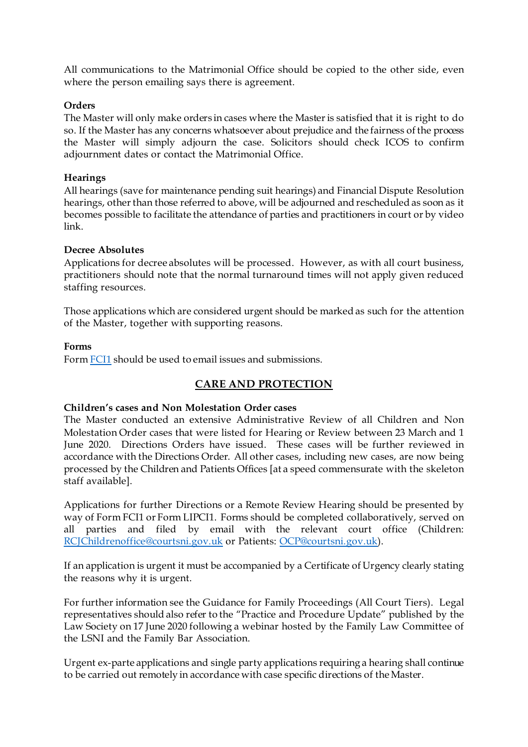All communications to the Matrimonial Office should be copied to the other side, even where the person emailing says there is agreement.

#### **Orders**

The Master will only make orders in cases where the Master is satisfied that it is right to do so. If the Master has any concerns whatsoever about prejudice and the fairness of the process the Master will simply adjourn the case. Solicitors should check ICOS to confirm adjournment dates or contact the Matrimonial Office.

#### **Hearings**

All hearings (save for maintenance pending suit hearings) and Financial Dispute Resolution hearings, other than those referred to above, will be adjourned and rescheduled as soon as it becomes possible to facilitate the attendance of parties and practitioners in court or by video link.

#### **Decree Absolutes**

Applications for decree absolutes will be processed. However, as with all court business, practitioners should note that the normal turnaround times will not apply given reduced staffing resources.

Those applications which are considered urgent should be marked as such for the attention of the Master, together with supporting reasons.

#### **Forms**

Form [FCI1](https://judiciaryni.uk/sites/judiciary/files/media-files/FORM%20FCI1%20-%20Family%20Business%20Continuity%20Covid-19%20V5.0%20Issued%205.6.20.DOC) should be used to email issues and submissions.

# **CARE AND PROTECTION**

#### **Children's cases and Non Molestation Order cases**

The Master conducted an extensive Administrative Review of all Children and Non Molestation Order cases that were listed for Hearing or Review between 23 March and 1 June 2020. Directions Orders have issued. These cases will be further reviewed in accordance with the Directions Order. All other cases, including new cases, are now being processed by the Children and Patients Offices [at a speed commensurate with the skeleton staff available].

Applications for further Directions or a Remote Review Hearing should be presented by way of Form FCI1 or Form LIPCI1. Forms should be completed collaboratively, served on all parties and filed by email with the relevant court office (Children: [RCJChildrenoffice@courtsni.gov.uk](mailto:RCJChildrenoffice@courtsni.gov.uk) or Patien[ts: OCP@courtsni.gov.u](mailto:OCP@courtsni.gov.uk)k).

If an application is urgent it must be accompanied by a Certificate of Urgency clearly stating the reasons why it is urgent.

For further information see the Guidance for Family Proceedings (All Court Tiers). Legal representatives should also refer to the "Practice and Procedure Update" published by the Law Society on 17 June 2020 following a webinar hosted by the Family Law Committee of the LSNI and the Family Bar Association.

Urgent ex-parte applications and single party applications requiring a hearing shall continue to be carried out remotely in accordance with case specific directions of the Master.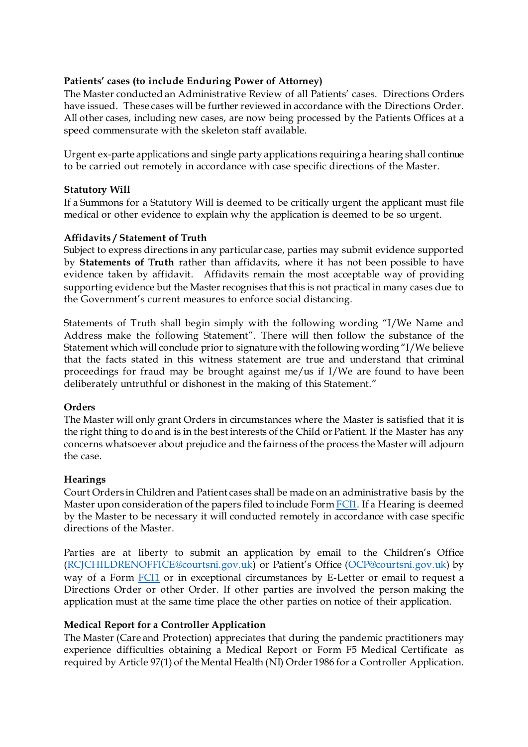### **Patients' cases (to include Enduring Power of Attorney)**

The Master conducted an Administrative Review of all Patients' cases. Directions Orders have issued. These cases will be further reviewed in accordance with the Directions Order. All other cases, including new cases, are now being processed by the Patients Offices at a speed commensurate with the skeleton staff available.

Urgent ex-parte applications and single party applications requiring a hearing shall continue to be carried out remotely in accordance with case specific directions of the Master.

#### **Statutory Will**

If a Summons for a Statutory Will is deemed to be critically urgent the applicant must file medical or other evidence to explain why the application is deemed to be so urgent.

#### **Affidavits / Statement of Truth**

Subject to express directions in any particular case, parties may submit evidence supported by **Statements of Truth** rather than affidavits, where it has not been possible to have evidence taken by affidavit. Affidavits remain the most acceptable way of providing supporting evidence but the Master recognises that this is not practical in many cases due to the Government's current measures to enforce social distancing.

Statements of Truth shall begin simply with the following wording "I/We Name and Address make the following Statement". There will then follow the substance of the Statement which will conclude prior to signature with the following wording "I/We believe that the facts stated in this witness statement are true and understand that criminal proceedings for fraud may be brought against me/us if I/We are found to have been deliberately untruthful or dishonest in the making of this Statement."

#### **Orders**

The Master will only grant Orders in circumstances where the Master is satisfied that it is the right thing to do and is in the best interests of the Child or Patient. If the Master has any concerns whatsoever about prejudice and the fairness of the process the Master will adjourn the case.

#### **Hearings**

Court Orders in Children and Patient cases shall be made on an administrative basis by the Master upon consideration of the papers filed to include Form [FCI1.](https://judiciaryni.uk/sites/judiciary/files/media-files/FORM%20FCI1%20-%20Family%20Business%20Continuity%20Covid-19%20V5.0%20Issued%205.6.20.DOC) If a Hearing is deemed by the Master to be necessary it will conducted remotely in accordance with case specific directions of the Master.

Parties are at liberty to submit an application by email to the Children's Office [\(RCJCHILDRENOFFICE@courtsni.gov.uk](mailto:RCJCHILDRENOFFICE@courtsni.gov.uk)) or Patient's Office [\(OCP@courtsni.gov.uk](mailto:OCP@courtsni.gov.uk)) by way of a Form [FCI1](https://judiciaryni.uk/sites/judiciary/files/media-files/FORM%20FCI1%20-%20Family%20Business%20Continuity%20Covid-19%20V5.0%20Issued%205.6.20.DOC) or in exceptional circumstances by E-Letter or email to request a Directions Order or other Order. If other parties are involved the person making the application must at the same time place the other parties on notice of their application.

#### **Medical Report for a Controller Application**

The Master (Care and Protection) appreciates that during the pandemic practitioners may experience difficulties obtaining a Medical Report or Form F5 Medical Certificate as required by Article 97(1) of the Mental Health (NI) Order 1986 for a Controller Application.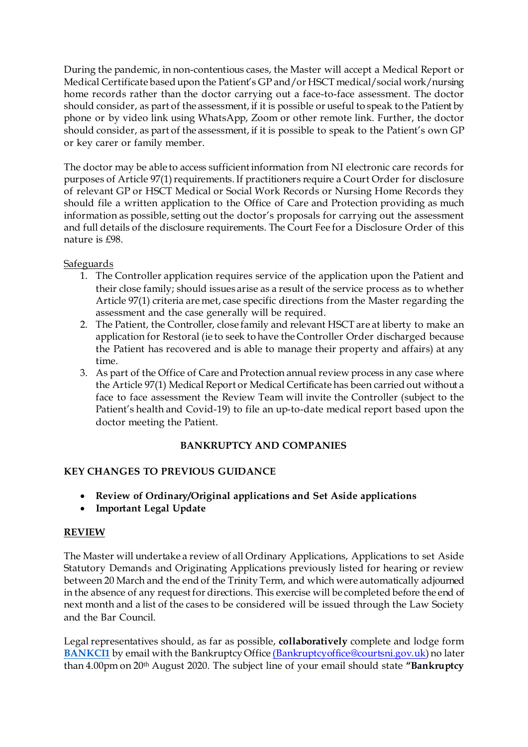During the pandemic, in non-contentious cases, the Master will accept a Medical Report or Medical Certificate based upon the Patient's GP and/or HSCT medical/social work/nursing home records rather than the doctor carrying out a face-to-face assessment. The doctor should consider, as part of the assessment, if it is possible or useful to speak to the Patient by phone or by video link using WhatsApp, Zoom or other remote link. Further, the doctor should consider, as part of the assessment, if it is possible to speak to the Patient's own GP or key carer or family member.

The doctor may be able to access sufficient information from NI electronic care records for purposes of Article 97(1) requirements. If practitioners require a Court Order for disclosure of relevant GP or HSCT Medical or Social Work Records or Nursing Home Records they should file a written application to the Office of Care and Protection providing as much information as possible, setting out the doctor's proposals for carrying out the assessment and full details of the disclosure requirements. The Court Fee for a Disclosure Order of this nature is £98.

Safeguards

- 1. The Controller application requires service of the application upon the Patient and their close family; should issues arise as a result of the service process as to whether Article 97(1) criteria are met, case specific directions from the Master regarding the assessment and the case generally will be required.
- 2. The Patient, the Controller, close family and relevant HSCT are at liberty to make an application for Restoral (ie to seek to have the Controller Order discharged because the Patient has recovered and is able to manage their property and affairs) at any time.
- 3. As part of the Office of Care and Protection annual review process in any case where the Article 97(1) Medical Report or Medical Certificate has been carried out without a face to face assessment the Review Team will invite the Controller (subject to the Patient's health and Covid-19) to file an up-to-date medical report based upon the doctor meeting the Patient.

# **BANKRUPTCY AND COMPANIES**

# **KEY CHANGES TO PREVIOUS GUIDANCE**

- **Review of Ordinary/Original applications and Set Aside applications**
- **Important Legal Update**

# **REVIEW**

The Master will undertake a review of all Ordinary Applications, Applications to set Aside Statutory Demands and Originating Applications previously listed for hearing or review between 20 March and the end of the Trinity Term, and which were automatically adjourned in the absence of any request for directions. This exercise will be completed before the end of next month and a list of the cases to be considered will be issued through the Law Society and the Bar Council.

Legal representatives should, as far as possible, **collaboratively** complete and lodge form **[BANKCI1](https://judiciaryni.uk/sites/judiciary/files/media-files/FORM%20BankCI1%20Bankruptcy%20and%20Companies%20Court%20Business%20Continuity%20-%20280720....doc)** by email with the Bankruptcy Office [\(Bankruptcyoffice@courtsni.gov.uk\)](mailto:(Bankruptcyoffice@courtsni.gov.uk) no later than 4.00pm on 20th August 2020. The subject line of your email should state **"Bankruptcy**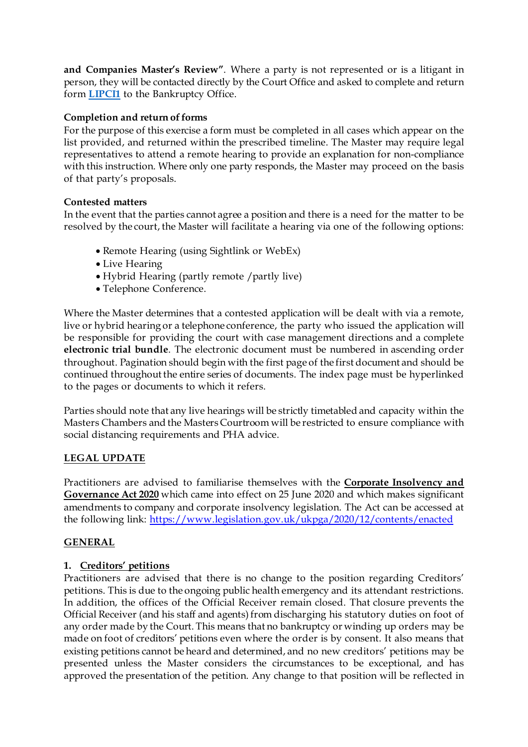**and Companies Master's Review"**. Where a party is not represented or is a litigant in person, they will be contacted directly by the Court Office and asked to complete and return form **[LIPCI1](https://judiciaryni.uk/sites/judiciary/files/media-files/FORM%20LIPCI1%20LIP%20%20Unrepresented%20Parties%20Business%20Continuity%20Covid%2019%20V3.0%20Issued%2011.5.20.DOC)** to the Bankruptcy Office.

## **Completion and return of forms**

For the purpose of this exercise a form must be completed in all cases which appear on the list provided, and returned within the prescribed timeline. The Master may require legal representatives to attend a remote hearing to provide an explanation for non-compliance with this instruction. Where only one party responds, the Master may proceed on the basis of that party's proposals.

## **Contested matters**

In the event that the parties cannot agree a position and there is a need for the matter to be resolved by the court, the Master will facilitate a hearing via one of the following options:

- Remote Hearing (using Sightlink or WebEx)
- Live Hearing
- Hybrid Hearing (partly remote /partly live)
- Telephone Conference.

Where the Master determines that a contested application will be dealt with via a remote, live or hybrid hearing or a telephone conference, the party who issued the application will be responsible for providing the court with case management directions and a complete **electronic trial bundle**. The electronic document must be numbered in ascending order throughout. Pagination should begin with the first page of the first document and should be continued throughout the entire series of documents. The index page must be hyperlinked to the pages or documents to which it refers.

Parties should note that any live hearings will be strictly timetabled and capacity within the Masters Chambers and the Masters Courtroom will be restricted to ensure compliance with social distancing requirements and PHA advice.

# **LEGAL UPDATE**

Practitioners are advised to familiarise themselves with the **Corporate Insolvency and Governance Act 2020** which came into effect on 25 June 2020 and which makes significant amendments to company and corporate insolvency legislation. The Act can be accessed at the following lin[k: https://www.legislation.gov.uk/ukpga/2020/12/contents/enacte](https://www.legislation.gov.uk/ukpga/2020/12/contents/enacted)d

# **GENERAL**

# **1. Creditors' petitions**

Practitioners are advised that there is no change to the position regarding Creditors' petitions. This is due to the ongoing public health emergency and its attendant restrictions. In addition, the offices of the Official Receiver remain closed. That closure prevents the Official Receiver (and his staff and agents) from discharging his statutory duties on foot of any order made by the Court. This means that no bankruptcy or winding up orders may be made on foot of creditors' petitions even where the order is by consent. It also means that existing petitions cannot be heard and determined, and no new creditors' petitions may be presented unless the Master considers the circumstances to be exceptional, and has approved the presentation of the petition. Any change to that position will be reflected in